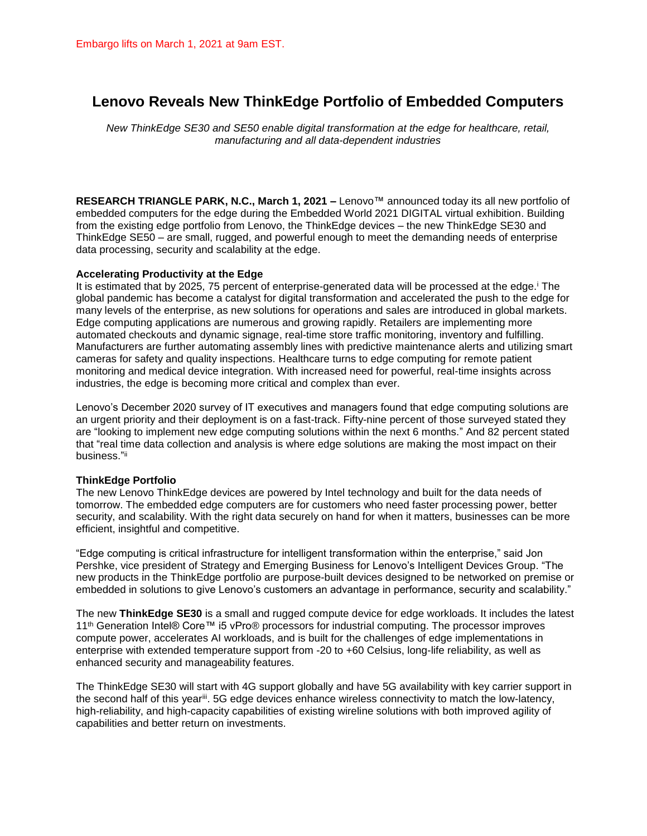# **Lenovo Reveals New ThinkEdge Portfolio of Embedded Computers**

*New ThinkEdge SE30 and SE50 enable digital transformation at the edge for healthcare, retail, manufacturing and all data-dependent industries*

**RESEARCH TRIANGLE PARK, N.C., March 1, 2021 –** Lenovo™ announced today its all new portfolio of embedded computers for the edge during the Embedded World 2021 DIGITAL virtual exhibition. Building from the existing edge portfolio from Lenovo, the ThinkEdge devices – the new ThinkEdge SE30 and ThinkEdge SE50 – are small, rugged, and powerful enough to meet the demanding needs of enterprise data processing, security and scalability at the edge.

### **Accelerating Productivity at the Edge**

It is estimated that by 2025, 75 percent of enterprise-generated data will be processed at the edge.<sup>i</sup> The global pandemic has become a catalyst for digital transformation and accelerated the push to the edge for many levels of the enterprise, as new solutions for operations and sales are introduced in global markets. Edge computing applications are numerous and growing rapidly. Retailers are implementing more automated checkouts and dynamic signage, real-time store traffic monitoring, inventory and fulfilling. Manufacturers are further automating assembly lines with predictive maintenance alerts and utilizing smart cameras for safety and quality inspections. Healthcare turns to edge computing for remote patient monitoring and medical device integration. With increased need for powerful, real-time insights across industries, the edge is becoming more critical and complex than ever.

Lenovo's December 2020 survey of IT executives and managers found that edge computing solutions are an urgent priority and their deployment is on a fast-track. Fifty-nine percent of those surveyed stated they are "looking to implement new edge computing solutions within the next 6 months." And 82 percent stated that "real time data collection and analysis is where edge solutions are making the most impact on their business."<sup>ii</sup>

### **ThinkEdge Portfolio**

The new Lenovo ThinkEdge devices are powered by Intel technology and built for the data needs of tomorrow. The embedded edge computers are for customers who need faster processing power, better security, and scalability. With the right data securely on hand for when it matters, businesses can be more efficient, insightful and competitive.

"Edge computing is critical infrastructure for intelligent transformation within the enterprise," said Jon Pershke, vice president of Strategy and Emerging Business for Lenovo's Intelligent Devices Group. "The new products in the ThinkEdge portfolio are purpose-built devices designed to be networked on premise or embedded in solutions to give Lenovo's customers an advantage in performance, security and scalability."

The new **ThinkEdge SE30** is a small and rugged compute device for edge workloads. It includes the latest 11th Generation Intel® Core™ i5 vPro® processors for industrial computing. The processor improves compute power, accelerates AI workloads, and is built for the challenges of edge implementations in enterprise with extended temperature support from -20 to +60 Celsius, long-life reliability, as well as enhanced security and manageability features.

The ThinkEdge SE30 will start with 4G support globally and have 5G availability with key carrier support in the second half of this year<sup>iii</sup>. 5G edge devices enhance wireless connectivity to match the low-latency, high-reliability, and high-capacity capabilities of existing wireline solutions with both improved agility of capabilities and better return on investments.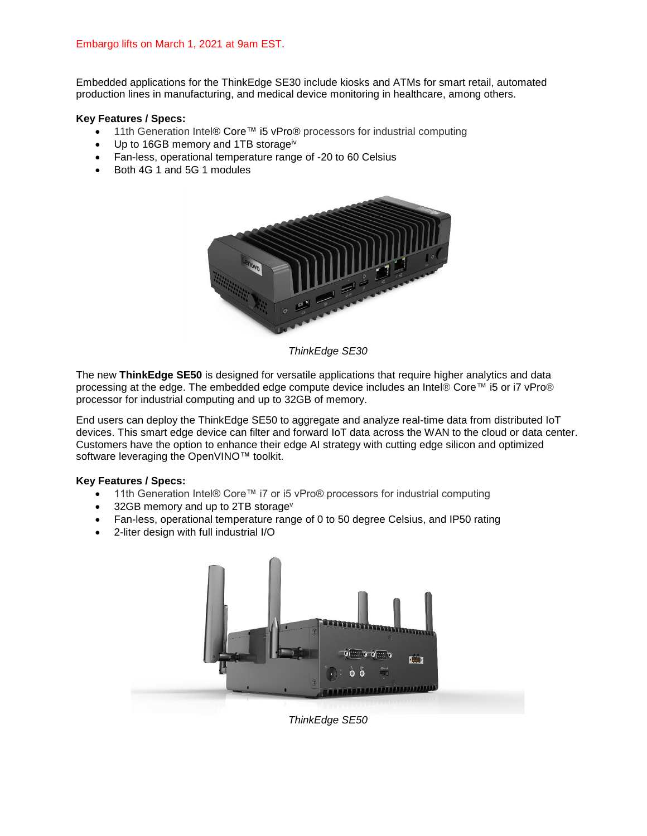Embedded applications for the ThinkEdge SE30 include kiosks and ATMs for smart retail, automated production lines in manufacturing, and medical device monitoring in healthcare, among others.

## **Key Features / Specs:**

- 11th Generation Intel® Core™ i5 vPro® processors for industrial computing
- Up to 16GB memory and 1TB storageiv
- Fan-less, operational temperature range of -20 to 60 Celsius
- Both 4G 1 and 5G 1 modules



*ThinkEdge SE30*

The new **ThinkEdge SE50** is designed for versatile applications that require higher analytics and data processing at the edge. The embedded edge compute device includes an Intel® Core™ i5 or i7 vPro® processor for industrial computing and up to 32GB of memory.

End users can deploy the ThinkEdge SE50 to aggregate and analyze real-time data from distributed IoT devices. This smart edge device can filter and forward IoT data across the WAN to the cloud or data center. Customers have the option to enhance their edge AI strategy with cutting edge silicon and optimized software leveraging the OpenVINO™ toolkit.

### **Key Features / Specs:**

- 11th Generation Intel® Core™ i7 or i5 vPro® processors for industrial computing
- $\bullet$  32GB memory and up to 2TB storage<sup>v</sup>
- Fan-less, operational temperature range of 0 to 50 degree Celsius, and IP50 rating
- 2-liter design with full industrial I/O



*ThinkEdge SE50*